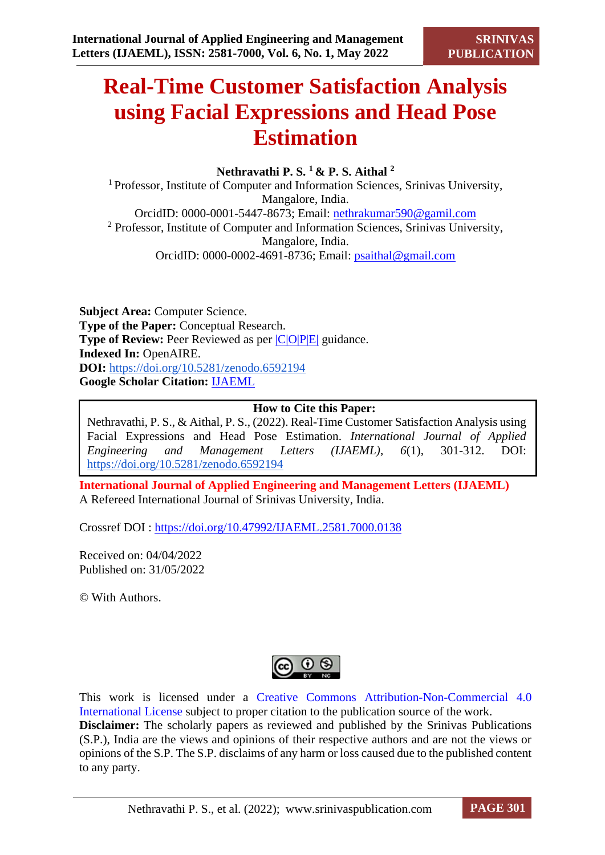# **Real-Time Customer Satisfaction Analysis using Facial Expressions and Head Pose Estimation**

### **Nethravathi P. S. <sup>1</sup>& P. S. Aithal <sup>2</sup>**

<sup>1</sup> Professor, Institute of Computer and Information Sciences, Srinivas University, Mangalore, India. OrcidID: 0000-0001-5447-8673; Email: [nethrakumar590@gamil.com](mailto:nethrakumar590@gamil.com) <sup>2</sup> Professor, Institute of Computer and Information Sciences, Srinivas University, Mangalore, India. OrcidID: 0000-0002-4691-8736; Email: [psaithal@gmail.com](mailto:psaithal@gmail.com)

**Subject Area:** Computer Science. **Type of the Paper:** Conceptual Research. **Type of Review:** Peer Reviewed as per  $|C|O||P|E|$  guidance. **Indexed In:** OpenAIRE. **DOI:** <https://doi.org/10.5281/zenodo.6592194> **Google Scholar Citation:** [IJAEML](https://scholar.google.com/citations?user=Wb7oZPYAAAAJ)

#### **How to Cite this Paper:**

Nethravathi, P. S., & Aithal, P. S., (2022). Real-Time Customer Satisfaction Analysis using Facial Expressions and Head Pose Estimation. *International Journal of Applied Engineering and Management Letters (IJAEML)*, *6*(1), 301-312. DOI: <https://doi.org/10.5281/zenodo.6592194>

**International Journal of Applied Engineering and Management Letters (IJAEML)** A Refereed International Journal of Srinivas University, India.

Crossref DOI : [https://doi.org/10.47992/IJAEML.2581.7000.0138](https://search.crossref.org/?q=10.47992%2FIJAEML.2581.7000.0138&from_ui=yes)

Received on: 04/04/2022 Published on: 31/05/2022

© With Authors.



This work is licensed under a Creative Commons Attribution-Non-Commercial 4.0 International License subject to proper citation to the publication source of the work. **Disclaimer:** The scholarly papers as reviewed and published by the Srinivas Publications (S.P.), India are the views and opinions of their respective authors and are not the views or opinions of the S.P. The S.P. disclaims of any harm or loss caused due to the published content to any party.

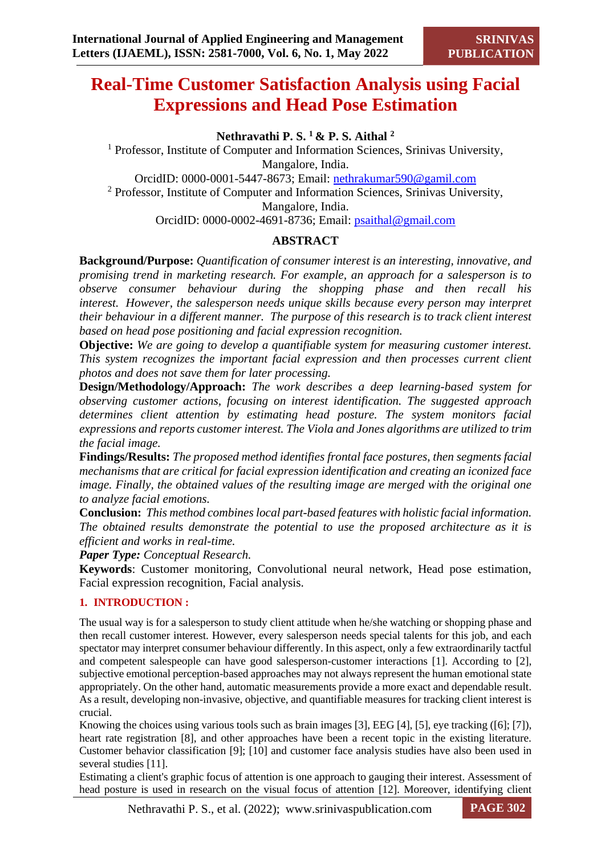# **Real-Time Customer Satisfaction Analysis using Facial Expressions and Head Pose Estimation**

**Nethravathi P. S. <sup>1</sup>& P. S. Aithal <sup>2</sup>**

<sup>1</sup> Professor, Institute of Computer and Information Sciences, Srinivas University, Mangalore, India. OrcidID: 0000-0001-5447-8673; Email: [nethrakumar590@gamil.com](mailto:nethrakumar590@gamil.com) <sup>2</sup> Professor, Institute of Computer and Information Sciences, Srinivas University, Mangalore, India. OrcidID: 0000-0002-4691-8736; Email: [psaithal@gmail.com](mailto:psaithal@gmail.com)

# **ABSTRACT**

**Background/Purpose:** *Quantification of consumer interest is an interesting, innovative, and promising trend in marketing research. For example, an approach for a salesperson is to observe consumer behaviour during the shopping phase and then recall his interest. However, the salesperson needs unique skills because every person may interpret their behaviour in a different manner. The purpose of this research is to track client interest based on head pose positioning and facial expression recognition.*

**Objective:** *We are going to develop a quantifiable system for measuring customer interest. This system recognizes the important facial expression and then processes current client photos and does not save them for later processing.* 

**Design/Methodology/Approach:** *The work describes a deep learning-based system for observing customer actions, focusing on interest identification. The suggested approach determines client attention by estimating head posture. The system monitors facial expressions and reports customer interest. The Viola and Jones algorithms are utilized to trim the facial image.*

**Findings/Results:** *The proposed method identifies frontal face postures, then segments facial mechanisms that are critical for facial expression identification and creating an iconized face image. Finally, the obtained values of the resulting image are merged with the original one to analyze facial emotions.* 

**Conclusion:** *This method combines local part-based features with holistic facial information. The obtained results demonstrate the potential to use the proposed architecture as it is efficient and works in real-time.*

*Paper Type: Conceptual Research.*

**Keywords**: Customer monitoring, Convolutional neural network, Head pose estimation, Facial expression recognition, Facial analysis.

## **1. INTRODUCTION :**

The usual way is for a salesperson to study client attitude when he/she watching or shopping phase and then recall customer interest. However, every salesperson needs special talents for this job, and each spectator may interpret consumer behaviour differently. In this aspect, only a few extraordinarily tactful and competent salespeople can have good salesperson-customer interactions [1]. According to [2], subjective emotional perception-based approaches may not always represent the human emotional state appropriately. On the other hand, automatic measurements provide a more exact and dependable result. As a result, developing non-invasive, objective, and quantifiable measures for tracking client interest is crucial.

Knowing the choices using various tools such as brain images [3], EEG [4], [5], eye tracking ([6]; [7]), heart rate registration [8], and other approaches have been a recent topic in the existing literature. Customer behavior classification [9]; [10] and customer face analysis studies have also been used in several studies [11].

Estimating a client's graphic focus of attention is one approach to gauging their interest. Assessment of head posture is used in research on the visual focus of attention [12]. Moreover, identifying client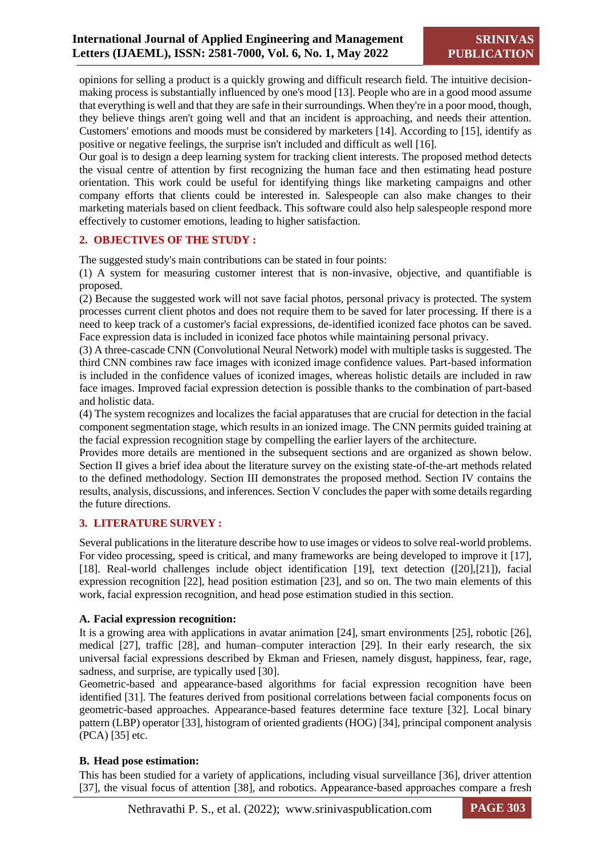opinions for selling a product is a quickly growing and difficult research field. The intuitive decisionmaking process is substantially influenced by one's mood [13]. People who are in a good mood assume that everything is well and that they are safe in their surroundings. When they're in a poor mood, though, they believe things aren't going well and that an incident is approaching, and needs their attention. Customers' emotions and moods must be considered by marketers [14]. According to [15], identify as positive or negative feelings, the surprise isn't included and difficult as well [16].

Our goal is to design a deep learning system for tracking client interests. The proposed method detects the visual centre of attention by first recognizing the human face and then estimating head posture orientation. This work could be useful for identifying things like marketing campaigns and other company efforts that clients could be interested in. Salespeople can also make changes to their marketing materials based on client feedback. This software could also help salespeople respond more effectively to customer emotions, leading to higher satisfaction.

#### **2. OBJECTIVES OF THE STUDY :**

The suggested study's main contributions can be stated in four points:

(1) A system for measuring customer interest that is non-invasive, objective, and quantifiable is proposed.

(2) Because the suggested work will not save facial photos, personal privacy is protected. The system processes current client photos and does not require them to be saved for later processing. If there is a need to keep track of a customer's facial expressions, de-identified iconized face photos can be saved. Face expression data is included in iconized face photos while maintaining personal privacy.

(3) A three-cascade CNN (Convolutional Neural Network) model with multiple tasks is suggested. The third CNN combines raw face images with iconized image confidence values. Part-based information is included in the confidence values of iconized images, whereas holistic details are included in raw face images. Improved facial expression detection is possible thanks to the combination of part-based and holistic data.

(4) The system recognizes and localizes the facial apparatuses that are crucial for detection in the facial component segmentation stage, which results in an ionized image. The CNN permits guided training at the facial expression recognition stage by compelling the earlier layers of the architecture.

Provides more details are mentioned in the subsequent sections and are organized as shown below. Section II gives a brief idea about the literature survey on the existing state-of-the-art methods related to the defined methodology. Section III demonstrates the proposed method. Section IV contains the results, analysis, discussions, and inferences. Section V concludes the paper with some details regarding the future directions.

#### **3. LITERATURE SURVEY :**

Several publications in the literature describe how to use images or videos to solve real-world problems. For video processing, speed is critical, and many frameworks are being developed to improve it [17], [18]. Real-world challenges include object identification [19], text detection ([20],[21]), facial expression recognition [22], head position estimation [23], and so on. The two main elements of this work, facial expression recognition, and head pose estimation studied in this section.

#### **A. Facial expression recognition:**

It is a growing area with applications in avatar animation [24], smart environments [25], robotic [26], medical [27], traffic [28], and human–computer interaction [29]. In their early research, the six universal facial expressions described by Ekman and Friesen, namely disgust, happiness, fear, rage, sadness, and surprise, are typically used [30].

Geometric-based and appearance-based algorithms for facial expression recognition have been identified [31]. The features derived from positional correlations between facial components focus on geometric-based approaches. Appearance-based features determine face texture [32]. Local binary pattern (LBP) operator [33], histogram of oriented gradients (HOG) [34], principal component analysis (PCA) [35] etc.

#### **B. Head pose estimation:**

This has been studied for a variety of applications, including visual surveillance [36], driver attention [37], the visual focus of attention [38], and robotics. Appearance-based approaches compare a fresh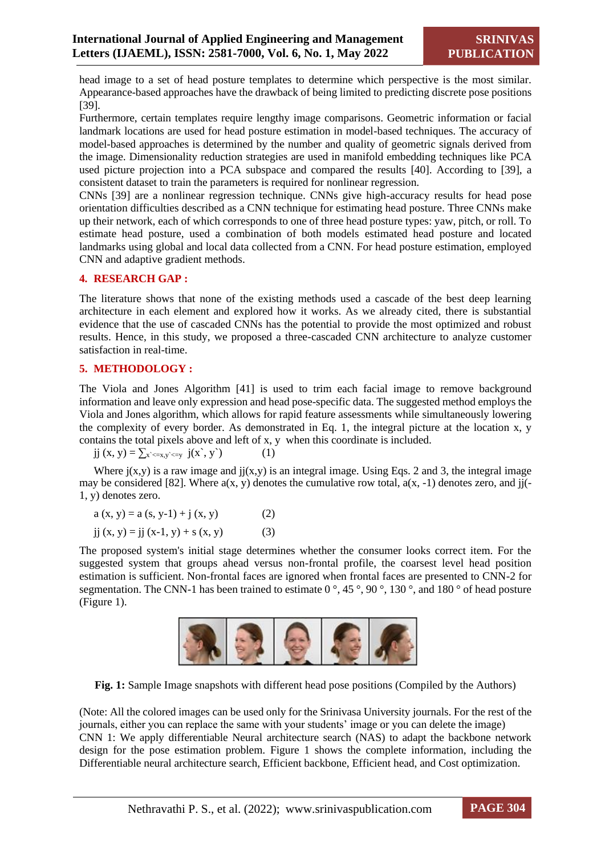head image to a set of head posture templates to determine which perspective is the most similar. Appearance-based approaches have the drawback of being limited to predicting discrete pose positions [39].

Furthermore, certain templates require lengthy image comparisons. Geometric information or facial landmark locations are used for head posture estimation in model-based techniques. The accuracy of model-based approaches is determined by the number and quality of geometric signals derived from the image. Dimensionality reduction strategies are used in manifold embedding techniques like PCA used picture projection into a PCA subspace and compared the results [40]. According to [39], a consistent dataset to train the parameters is required for nonlinear regression.

CNNs [39] are a nonlinear regression technique. CNNs give high-accuracy results for head pose orientation difficulties described as a CNN technique for estimating head posture. Three CNNs make up their network, each of which corresponds to one of three head posture types: yaw, pitch, or roll. To estimate head posture, used a combination of both models estimated head posture and located landmarks using global and local data collected from a CNN. For head posture estimation, employed CNN and adaptive gradient methods.

#### **4. RESEARCH GAP :**

The literature shows that none of the existing methods used a cascade of the best deep learning architecture in each element and explored how it works. As we already cited, there is substantial evidence that the use of cascaded CNNs has the potential to provide the most optimized and robust results. Hence, in this study, we proposed a three-cascaded CNN architecture to analyze customer satisfaction in real-time.

#### **5. METHODOLOGY :**

The Viola and Jones Algorithm [41] is used to trim each facial image to remove background information and leave only expression and head pose-specific data. The suggested method employs the Viola and Jones algorithm, which allows for rapid feature assessments while simultaneously lowering the complexity of every border. As demonstrated in Eq. 1, the integral picture at the location x, y contains the total pixels above and left of x, y when this coordinate is included.

jj  $(x, y) = \sum_{x \le x, y \le y} j(x, y)$  (1)

Where  $i(x,y)$  is a raw image and  $ii(x,y)$  is an integral image. Using Eqs. 2 and 3, the integral image may be considered [82]. Where  $a(x, y)$  denotes the cumulative row total,  $a(x, -1)$  denotes zero, and jj(-1, y) denotes zero.

$$
a(x, y) = a(s, y-1) + j(x, y)
$$
 (2)

$$
jj (x, y) = jj (x-1, y) + s (x, y)
$$
 (3)

The proposed system's initial stage determines whether the consumer looks correct item. For the suggested system that groups ahead versus non-frontal profile, the coarsest level head position estimation is sufficient. Non-frontal faces are ignored when frontal faces are presented to CNN-2 for segmentation. The CNN-1 has been trained to estimate 0 °, 45 °, 90 °, 130 °, and 180 ° of head posture (Figure 1).



**Fig. 1:** Sample Image snapshots with different head pose positions (Compiled by the Authors)

(Note: All the colored images can be used only for the Srinivasa University journals. For the rest of the journals, either you can replace the same with your students' image or you can delete the image) CNN 1: We apply differentiable Neural architecture search (NAS) to adapt the backbone network design for the pose estimation problem. Figure 1 shows the complete information, including the Differentiable neural architecture search, Efficient backbone, Efficient head, and Cost optimization.

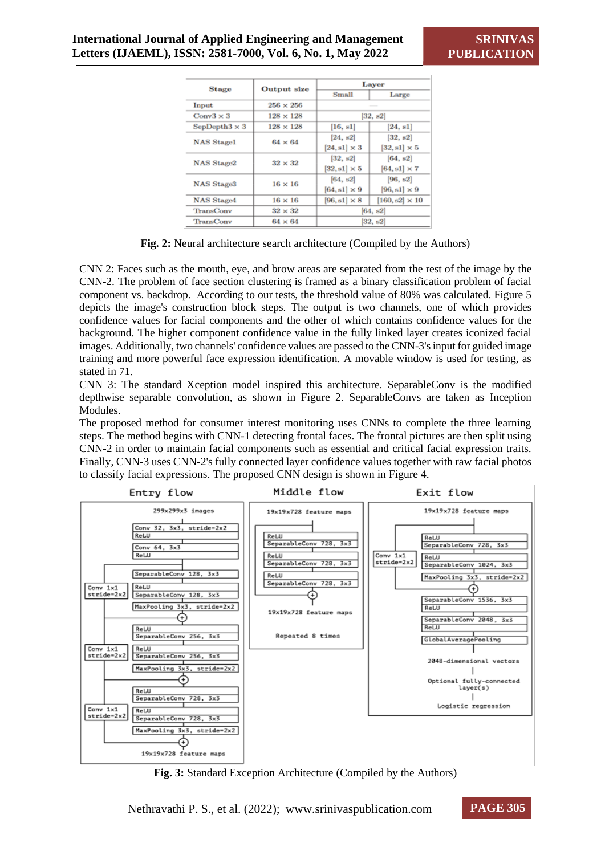| <b>Stage</b>          |                  | Laver               |                       |  |  |
|-----------------------|------------------|---------------------|-----------------------|--|--|
|                       | Output size      | <b>Small</b>        | Large                 |  |  |
| Input                 | $256 \times 256$ |                     |                       |  |  |
| $Conv3 \times 3$      | $128 \times 128$ |                     | [32, s2]              |  |  |
| SepDepth $3 \times 3$ | $128 \times 128$ | [16, s1]            | [24, s1]              |  |  |
| <b>NAS Stage1</b>     | $64 \times 64$   | [24, s2]            | [32, s2]              |  |  |
|                       |                  | $[24, s1] \times 3$ | $[32, s1] \times 5$   |  |  |
| <b>NAS Stage2</b>     | $32 \times 32$   | [32, s2]            | [64, s2]              |  |  |
|                       |                  | $[32, s1] \times 5$ | $[64, s1] \times 7$   |  |  |
| NAS Stage3            | $16 \times 16$   | [64, s2]            | [96, s2]              |  |  |
|                       |                  | $[64, s1] \times 9$ | $[96, s1] \times 9$   |  |  |
| <b>NAS Stage4</b>     | $16 \times 16$   | $[96, s1] \times 8$ | $[160, s2] \times 10$ |  |  |
| <b>TransConv</b>      | $32 \times 32$   | [64, s2]            |                       |  |  |
| <b>TransConv</b>      | $64 \times 64$   | [32, s2]            |                       |  |  |

**Fig. 2:** Neural architecture search architecture (Compiled by the Authors)

CNN 2: Faces such as the mouth, eye, and brow areas are separated from the rest of the image by the CNN-2. The problem of face section clustering is framed as a binary classification problem of facial component vs. backdrop. According to our tests, the threshold value of 80% was calculated. Figure 5 depicts the image's construction block steps. The output is two channels, one of which provides confidence values for facial components and the other of which contains confidence values for the background. The higher component confidence value in the fully linked layer creates iconized facial images. Additionally, two channels' confidence values are passed to the CNN-3's input for guided image training and more powerful face expression identification. A movable window is used for testing, as stated in 71.

CNN 3: The standard Xception model inspired this architecture. SeparableConv is the modified depthwise separable convolution, as shown in Figure 2. SeparableConvs are taken as Inception Modules.

The proposed method for consumer interest monitoring uses CNNs to complete the three learning steps. The method begins with CNN-1 detecting frontal faces. The frontal pictures are then split using CNN-2 in order to maintain facial components such as essential and critical facial expression traits. Finally, CNN-3 uses CNN-2's fully connected layer confidence values together with raw facial photos to classify facial expressions. The proposed CNN design is shown in Figure 4.



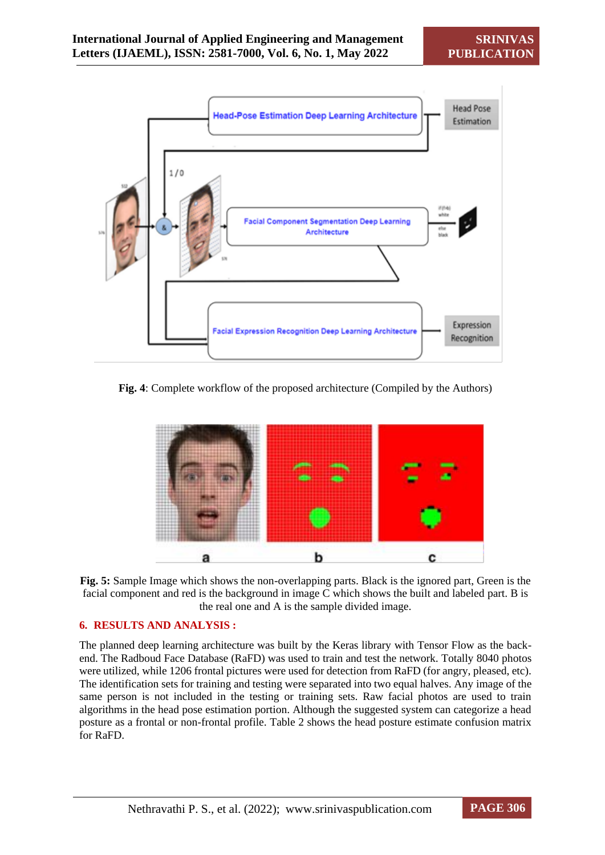

**Fig. 4**: Complete workflow of the proposed architecture (Compiled by the Authors)



**Fig. 5:** Sample Image which shows the non-overlapping parts. Black is the ignored part, Green is the facial component and red is the background in image C which shows the built and labeled part. B is the real one and A is the sample divided image.

#### **6. RESULTS AND ANALYSIS :**

The planned deep learning architecture was built by the Keras library with Tensor Flow as the backend. The Radboud Face Database (RaFD) was used to train and test the network. Totally 8040 photos were utilized, while 1206 frontal pictures were used for detection from RaFD (for angry, pleased, etc). The identification sets for training and testing were separated into two equal halves. Any image of the same person is not included in the testing or training sets. Raw facial photos are used to train algorithms in the head pose estimation portion. Although the suggested system can categorize a head posture as a frontal or non-frontal profile. Table 2 shows the head posture estimate confusion matrix for RaFD.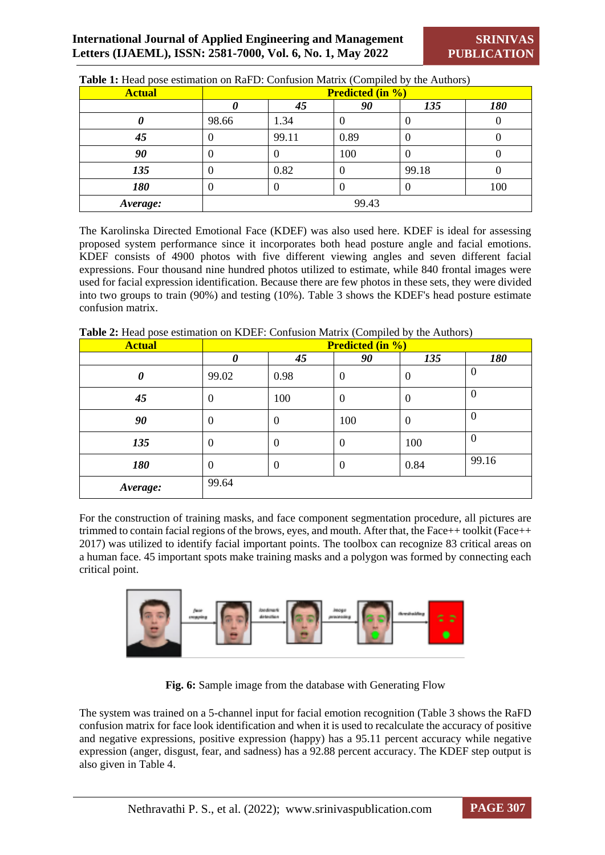| <b>Actual</b> | <b>Predicted (in %)</b> |          |      |          |     |  |
|---------------|-------------------------|----------|------|----------|-----|--|
|               |                         | 45       | 90   | 135      | 180 |  |
|               | 98.66                   | 1.34     |      | ν        |     |  |
| 45            |                         | 99.11    | 0.89 | $\left($ |     |  |
| 90            |                         | O        | 100  | $\cup$   |     |  |
| 135           | v                       | 0.82     |      | 99.18    |     |  |
| 180           | v                       | $\theta$ |      | O        | 100 |  |
| Average:      | 99.43                   |          |      |          |     |  |

**Table 1:** Head pose estimation on RaFD: Confusion Matrix (Compiled by the Authors)

The Karolinska Directed Emotional Face (KDEF) was also used here. KDEF is ideal for assessing proposed system performance since it incorporates both head posture angle and facial emotions. KDEF consists of 4900 photos with five different viewing angles and seven different facial expressions. Four thousand nine hundred photos utilized to estimate, while 840 frontal images were used for facial expression identification. Because there are few photos in these sets, they were divided into two groups to train (90%) and testing (10%). Table 3 shows the KDEF's head posture estimate confusion matrix.

| <b>Actual</b> | <b>Predicted (in %)</b> |      |     |     |     |  |  |
|---------------|-------------------------|------|-----|-----|-----|--|--|
|               |                         | 45   | 90  | 135 | 180 |  |  |
|               | 99.02                   | 0.98 |     |     |     |  |  |
| 45            | $\cup$                  | 100  |     |     | v   |  |  |
| 90            | O                       | U    | 100 | U   |     |  |  |
| 135           | U                       | U    |     | 100 |     |  |  |

**Table 2:** Head pose estimation on KDEF: Confusion Matrix (Compiled by the Authors)

*Average:* 99.64

For the construction of training masks, and face component segmentation procedure, all pictures are trimmed to contain facial regions of the brows, eyes, and mouth. After that, the Face++ toolkit (Face++ 2017) was utilized to identify facial important points. The toolbox can recognize 83 critical areas on a human face. 45 important spots make training masks and a polygon was formed by connecting each critical point.

**180** 0 0 0 0.84 99.16



**Fig. 6:** Sample image from the database with Generating Flow

The system was trained on a 5-channel input for facial emotion recognition (Table 3 shows the RaFD confusion matrix for face look identification and when it is used to recalculate the accuracy of positive and negative expressions, positive expression (happy) has a 95.11 percent accuracy while negative expression (anger, disgust, fear, and sadness) has a 92.88 percent accuracy. The KDEF step output is also given in Table 4.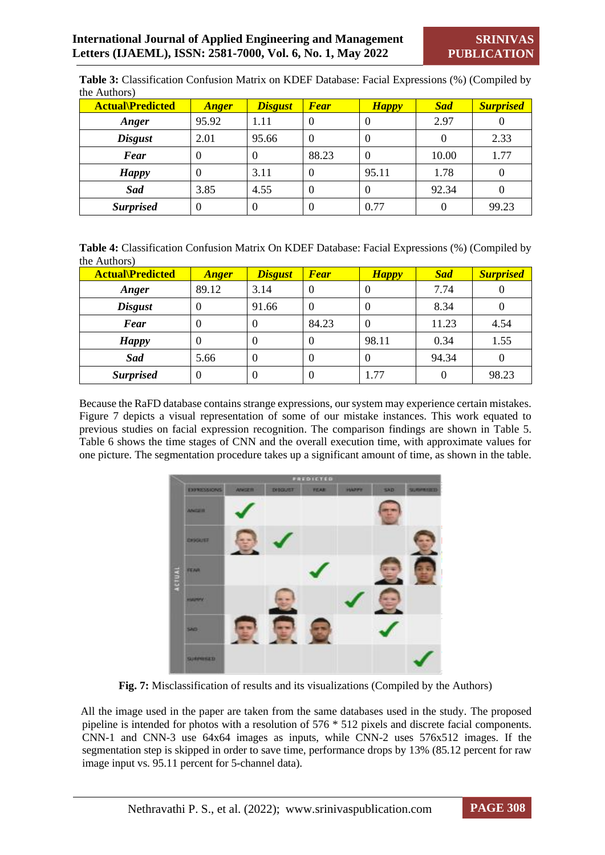| <b>Actual</b> Predicted | <b>Anger</b> | <b>Disgust</b> | <b>Fear</b> | <b>Happy</b> | <b>Sad</b> | <b>Surprised</b> |
|-------------------------|--------------|----------------|-------------|--------------|------------|------------------|
| Anger                   | 95.92        | 1.11           | 0           | $\theta$     | 2.97       |                  |
| <b>Disgust</b>          | 2.01         | 95.66          | 0           | $\theta$     | 0          | 2.33             |
| <b>Fear</b>             | $\Omega$     | 0              | 88.23       | $\theta$     | 10.00      | 1.77             |
| <b>Happy</b>            | $\Omega$     | 3.11           | 0           | 95.11        | 1.78       | $\Omega$         |
| Sad                     | 3.85         | 4.55           | 0           | $\Omega$     | 92.34      |                  |
| <b>Surprised</b>        | $\Omega$     | 0              | $\theta$    | 0.77         | 0          | 99.23            |

**Table 3:** Classification Confusion Matrix on KDEF Database: Facial Expressions (%) (Compiled by the Authors)

| Table 4: Classification Confusion Matrix On KDEF Database: Facial Expressions (%) (Compiled by |
|------------------------------------------------------------------------------------------------|
| the Authors)                                                                                   |

| <b>Actual</b> Predicted | <b>Anger</b> | <b>Disgust</b> | <b>Fear</b>      | <b>Happy</b> | <b>Sad</b> | <b>Surprised</b> |
|-------------------------|--------------|----------------|------------------|--------------|------------|------------------|
| Anger                   | 89.12        | 3.14           | $\overline{0}$   | $\theta$     | 7.74       |                  |
| <b>Disgust</b>          | $\Omega$     | 91.66          | $\boldsymbol{0}$ | $\Omega$     | 8.34       |                  |
| <b>Fear</b>             | $\theta$     | $\theta$       | 84.23            | $\theta$     | 11.23      | 4.54             |
| <b>Happy</b>            | $\theta$     | $\Omega$       | $\theta$         | 98.11        | 0.34       | 1.55             |
| Sad                     | 5.66         | $\Omega$       | $\overline{0}$   | $\Omega$     | 94.34      |                  |
| <b>Surprised</b>        | $\theta$     | $\theta$       | $\overline{0}$   | 1.77         |            | 98.23            |

Because the RaFD database contains strange expressions, our system may experience certain mistakes. Figure 7 depicts a visual representation of some of our mistake instances. This work equated to previous studies on facial expression recognition. The comparison findings are shown in Table 5. Table 6 shows the time stages of CNN and the overall execution time, with approximate values for one picture. The segmentation procedure takes up a significant amount of time, as shown in the table.



**Fig. 7:** Misclassification of results and its visualizations (Compiled by the Authors)

All the image used in the paper are taken from the same databases used in the study. The proposed pipeline is intended for photos with a resolution of 576 \* 512 pixels and discrete facial components. CNN-1 and CNN-3 use 64x64 images as inputs, while CNN-2 uses 576x512 images. If the segmentation step is skipped in order to save time, performance drops by 13% (85.12 percent for raw image input vs. 95.11 percent for 5-channel data).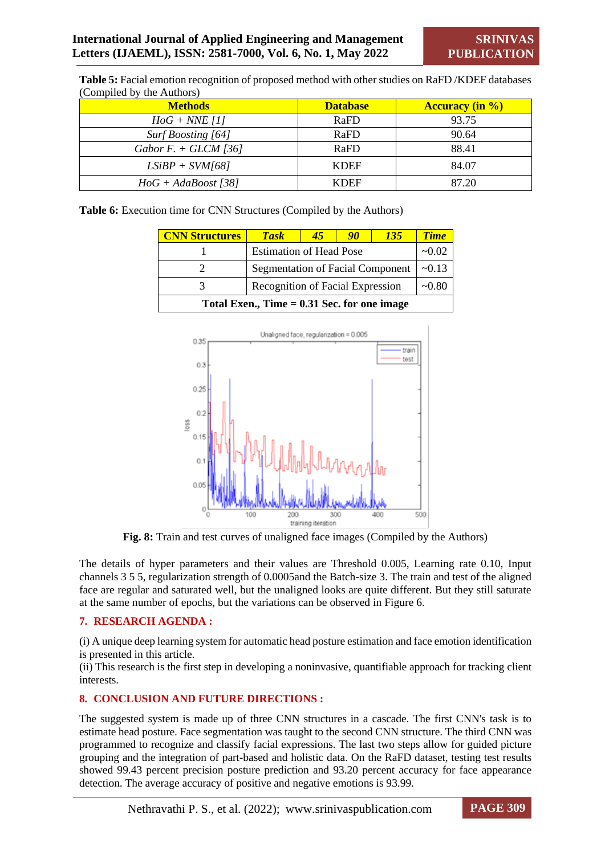| (Compiled by the Authors) |                 |                        |  |  |  |  |
|---------------------------|-----------------|------------------------|--|--|--|--|
| <b>Methods</b>            | <b>Database</b> | <b>Accuracy (in %)</b> |  |  |  |  |
| $HoG + NNE [1]$           | RaFD            | 93.75                  |  |  |  |  |
| Surf Boosting [64]        | RaFD            | 90.64                  |  |  |  |  |
| Gabor F. + GLCM [36]      | RaFD            | 88.41                  |  |  |  |  |
| $LSiBP + SVM[68]$         | <b>KDEF</b>     | 84.07                  |  |  |  |  |
| $HoG + AdaBoost [38]$     | <b>KDEF</b>     | 87.20                  |  |  |  |  |

**Table 5:** Facial emotion recognition of proposed method with other studies on RaFD /KDEF databases

**Table 6:** Execution time for CNN Structures (Compiled by the Authors)

| <b>CNN Structures</b>                         | <b>Task</b>                             | 45      | 90          | <b>135</b> | <b>Time</b> |  |  |
|-----------------------------------------------|-----------------------------------------|---------|-------------|------------|-------------|--|--|
|                                               | <b>Estimation of Head Pose</b>          | ~10.02  |             |            |             |  |  |
|                                               | <b>Segmentation of Facial Component</b> |         | $\sim 0.13$ |            |             |  |  |
|                                               | Recognition of Facial Expression        | $-0.80$ |             |            |             |  |  |
| Total Exen., Time $= 0.31$ Sec. for one image |                                         |         |             |            |             |  |  |



**Fig. 8:** Train and test curves of unaligned face images (Compiled by the Authors)

The details of hyper parameters and their values are Threshold 0.005, Learning rate 0.10, Input channels 3 5 5, regularization strength of 0.0005and the Batch-size 3. The train and test of the aligned face are regular and saturated well, but the unaligned looks are quite different. But they still saturate at the same number of epochs, but the variations can be observed in Figure 6.

#### **7. RESEARCH AGENDA :**

(i) A unique deep learning system for automatic head posture estimation and face emotion identification is presented in this article.

(ii) This research is the first step in developing a noninvasive, quantifiable approach for tracking client interests.

#### **8. CONCLUSION AND FUTURE DIRECTIONS :**

The suggested system is made up of three CNN structures in a cascade. The first CNN's task is to estimate head posture. Face segmentation was taught to the second CNN structure. The third CNN was programmed to recognize and classify facial expressions. The last two steps allow for guided picture grouping and the integration of part-based and holistic data. On the RaFD dataset, testing test results showed 99.43 percent precision posture prediction and 93.20 percent accuracy for face appearance detection. The average accuracy of positive and negative emotions is 93.99.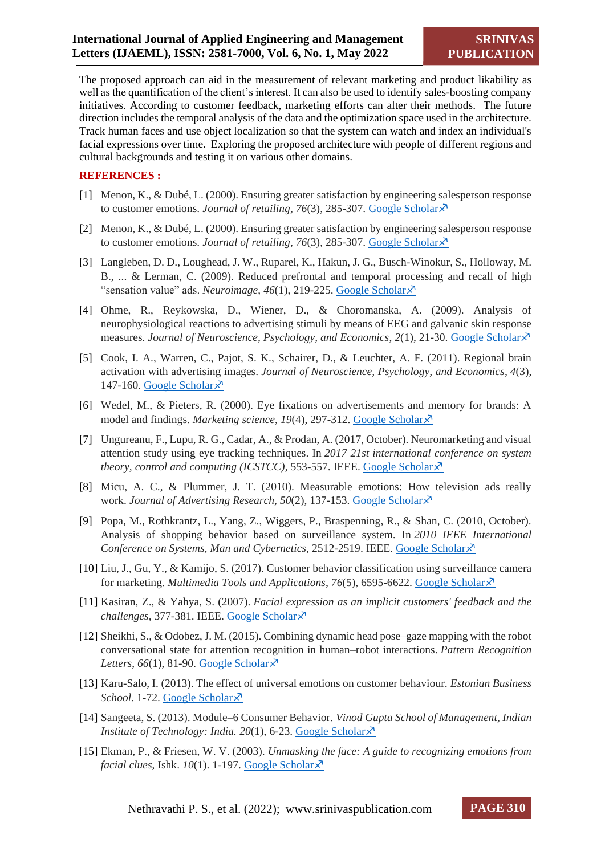The proposed approach can aid in the measurement of relevant marketing and product likability as well as the quantification of the client's interest. It can also be used to identify sales-boosting company initiatives. According to customer feedback, marketing efforts can alter their methods. The future direction includes the temporal analysis of the data and the optimization space used in the architecture. Track human faces and use object localization so that the system can watch and index an individual's facial expressions over time. Exploring the proposed architecture with people of different regions and cultural backgrounds and testing it on various other domains.

#### **REFERENCES :**

- [1] Menon, K., & Dubé, L. (2000). Ensuring greater satisfaction by engineering salesperson response to customer emotions. *Journal of retailing*,  $76(3)$ , 285-307. [Google Scholar](https://www.sciencedirect.com/science/article/pii/S0022435900000348) $\chi$ <sup>7</sup>
- [2] Menon, K., & Dubé, L. (2000). Ensuring greater satisfaction by engineering salesperson response to customer emotions. *Journal of retailing*, *76*(3), 285-307. [Google Scholar](https://www.sciencedirect.com/science/article/pii/S0022435900000348)
- [3] Langleben, D. D., Loughead, J. W., Ruparel, K., Hakun, J. G., Busch-Winokur, S., Holloway, M. B., ... & Lerman, C. (2009). Reduced prefrontal and temporal processing and recall of high "sensation value" ads. *Neuroimage*, 46(1), 219-225. [Google Scholar](https://www.sciencedirect.com/science/article/pii/S1053811909000020) ×
- [4] Ohme, R., Reykowska, D., Wiener, D., & Choromanska, A. (2009). Analysis of neurophysiological reactions to advertising stimuli by means of EEG and galvanic skin response measures. *Journal of Neuroscience, Psychology, and Economics*, *2*(1), 21-30. [Google Scholar](https://psycnet.apa.org/journals/npe/2/1/21/)
- [5] Cook, I. A., Warren, C., Pajot, S. K., Schairer, D., & Leuchter, A. F. (2011). Regional brain activation with advertising images. *Journal of Neuroscience, Psychology, and Economics*, *4*(3), 147-160. [Google Scholar](https://psycnet.apa.org/journals/npe/4/3/147/) $\lambda$
- [6] Wedel, M., & Pieters, R. (2000). Eye fixations on advertisements and memory for brands: A model and findings. *Marketing science*, 19(4), 297-312. [Google Scholar](https://pubsonline.informs.org/doi/abs/10.1287/mksc.19.4.297.11794) ×
- [7] Ungureanu, F., Lupu, R. G., Cadar, A., & Prodan, A. (2017, October). Neuromarketing and visual attention study using eye tracking techniques. In *2017 21st international conference on system theory, control and computing (ICSTCC), 553-557. IEEE. [Google Scholar](https://ieeexplore.ieee.org/abstract/document/8107093/)* $\chi$ *<sup>3</sup>*
- [8] Micu, A. C., & Plummer, J. T. (2010). Measurable emotions: How television ads really work. *Journal of Advertising Research*, *50*(2), 137-153. [Google Scholar](http://www.journalofadvertisingresearch.com/content/jadvertres/50/2/137.full-text.pdf)
- [9] Popa, M., Rothkrantz, L., Yang, Z., Wiggers, P., Braspenning, R., & Shan, C. (2010, October). Analysis of shopping behavior based on surveillance system. In *2010 IEEE International Conference on Systems, Man and Cybernetics, 2512-2519. IEEE. [Google Scholar](https://ieeexplore.ieee.org/abstract/document/5641928/)*
- [10] Liu, J., Gu, Y., & Kamijo, S. (2017). Customer behavior classification using surveillance camera for marketing. *Multimedia Tools and Applications*, 76(5), 6595-6622. [Google Scholar](https://link.springer.com/article/10.1007/s11042-016-3342-1)  $\times$
- [11] Kasiran, Z., & Yahya, S. (2007). *Facial expression as an implicit customers' feedback and the challenges,* 377-381. IEEE. [Google Scholar](https://ieeexplore.ieee.org/abstract/document/4293701/)
- [12] Sheikhi, S., & Odobez, J. M. (2015). Combining dynamic head pose–gaze mapping with the robot conversational state for attention recognition in human–robot interactions. *Pattern Recognition Letters*,  $66(1)$ , 81-90. [Google Scholar](https://www.sciencedirect.com/science/article/pii/S0167865514003067) $\overline{\chi}$
- [13] Karu-Salo, I. (2013). The effect of universal emotions on customer behaviour. *Estonian Business School.* 1-72. [Google Scholar](https://mi.ee/wp-content/uploads/Parim-turunduse-teemaline-magistritoo-2013.pdf)  $\lambda$ <sup>7</sup>
- [14] Sangeeta, S. (2013). Module–6 Consumer Behavior. *Vinod Gupta School of Management, Indian Institute of Technology: India.* 20(1), 6-23. [Google Scholar](http://scholar.google.com/scholar_lookup?&title=Module-6%20consumer%20behavior&pages=1-24&publication_year=2011&author=Sahney%2CS) $\chi$ <sup>7</sup>
- [15] Ekman, P., & Friesen, W. V. (2003). *Unmasking the face: A guide to recognizing emotions from facial clues*, Ishk. *10*(1). 1-197. [Google Scholar](https://books.google.com/books?hl=en&lr=&id=TukNoJDgMTUC&oi=fnd&pg=PR3&dq=Unmasking+the+face:+a+guide+to+recognising+emotions+from+facial+clues.+Consulting+Psychologists+Press,+&ots=GWGuds1-fe&sig=-FiChjMpeVcnpXANN18nm7VA6VQ)  $\lambda$ <sup>7</sup>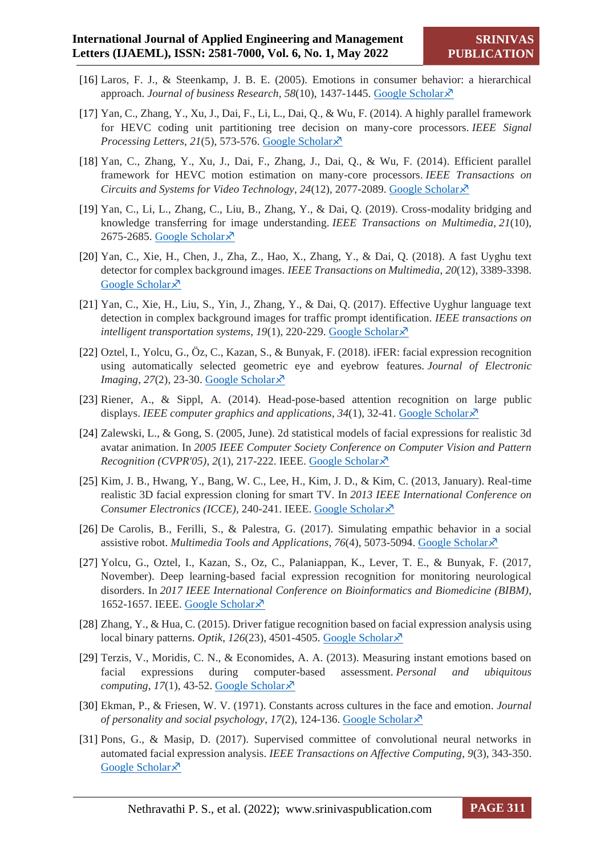- [16] Laros, F. J., & Steenkamp, J. B. E. (2005). Emotions in consumer behavior: a hierarchical approach. *Journal of business Research*, 58(10), 1437-1445. [Google Scholar](https://www.sciencedirect.com/science/article/pii/S0148296304001092) ×
- [17] Yan, C., Zhang, Y., Xu, J., Dai, F., Li, L., Dai, Q., & Wu, F. (2014). A highly parallel framework for HEVC coding unit partitioning tree decision on many-core processors. *IEEE Signal Processing Letters*, *21*(5), 573-576. [Google Scholar](https://ieeexplore.ieee.org/abstract/document/6763011/)
- [18] Yan, C., Zhang, Y., Xu, J., Dai, F., Zhang, J., Dai, Q., & Wu, F. (2014). Efficient parallel framework for HEVC motion estimation on many-core processors. *IEEE Transactions on Circuits and Systems for Video Technology*, *24*(12), 2077-2089. [Google Scholar](https://ieeexplore.ieee.org/abstract/document/6848755/)
- [19] Yan, C., Li, L., Zhang, C., Liu, B., Zhang, Y., & Dai, Q. (2019). Cross-modality bridging and knowledge transferring for image understanding. *IEEE Transactions on Multimedia*, *21*(10), 2675-2685. [Google Scholar](https://ieeexplore.ieee.org/abstract/document/8662712/) $\overline{\mathcal{X}}$
- [20] Yan, C., Xie, H., Chen, J., Zha, Z., Hao, X., Zhang, Y., & Dai, Q. (2018). A fast Uyghu text detector for complex background images. *IEEE Transactions on Multimedia*, *20*(12), 3389-3398. [Google Scholar](https://ieeexplore.ieee.org/abstract/document/8361043/)<sup> $\bar{x}$ </sup>
- [21] Yan, C., Xie, H., Liu, S., Yin, J., Zhang, Y., & Dai, Q. (2017). Effective Uyghur language text detection in complex background images for traffic prompt identification. *IEEE transactions on intelligent transportation systems, 19(1), 220-229.* [Google Scholar](https://ieeexplore.ieee.org/abstract/document/8064200/) $\chi$ <sup>3</sup>
- [22] Oztel, I., Yolcu, G., Öz, C., Kazan, S., & Bunyak, F. (2018). iFER: facial expression recognition using automatically selected geometric eye and eyebrow features. *Journal of Electronic Imaging*, 27(2), 23-30. [Google Scholar](https://www.spiedigitallibrary.org/journals/journal-of-electronic-imaging/volume-27/issue-2/023003/iFER--facial-expression-recognition-using-automatically-selected-geometric-eye/10.1117/1.JEI.27.2.023003.short)  $\times$
- [23] Riener, A., & Sippl, A. (2014). Head-pose-based attention recognition on large public displays. *IEEE computer graphics and applications*, *34*(1), 32-41. [Google Scholar](https://ieeexplore.ieee.org/abstract/document/6756857/)
- [24] Zalewski, L., & Gong, S. (2005, June). 2d statistical models of facial expressions for realistic 3d avatar animation. In *2005 IEEE Computer Society Conference on Computer Vision and Pattern Recognition (CVPR'05)*,  $2(1)$ ,  $217-222$ . IEEE. [Google Scholar](https://ieeexplore.ieee.org/abstract/document/1467445/) $\chi$ <sup>7</sup>
- [25] Kim, J. B., Hwang, Y., Bang, W. C., Lee, H., Kim, J. D., & Kim, C. (2013, January). Real-time realistic 3D facial expression cloning for smart TV. In *2013 IEEE International Conference on Consumer Electronics (ICCE),* 240-241. IEEE. [Google Scholar](https://ieeexplore.ieee.org/abstract/document/6486876/)
- [26] De Carolis, B., Ferilli, S., & Palestra, G. (2017). Simulating empathic behavior in a social assistive robot. *Multimedia Tools and Applications*, 76(4), 5073-5094. [Google Scholar](https://link.springer.com/article/10.1007/s11042-016-3797-0)  $\overline{X}$
- [27] Yolcu, G., Oztel, I., Kazan, S., Oz, C., Palaniappan, K., Lever, T. E., & Bunyak, F. (2017, November). Deep learning-based facial expression recognition for monitoring neurological disorders. In *2017 IEEE International Conference on Bioinformatics and Biomedicine (BIBM)*, 1652-1657. IEEE. [Google Scholar](https://ieeexplore.ieee.org/abstract/document/8217907/) ×
- [28] Zhang, Y., & Hua, C. (2015). Driver fatigue recognition based on facial expression analysis using local binary patterns. *Optik*, *126*(23), 4501-4505. [Google Scholar](https://www.sciencedirect.com/science/article/pii/S0030402615009523)
- [29] Terzis, V., Moridis, C. N., & Economides, A. A. (2013). Measuring instant emotions based on facial expressions during computer-based assessment. *Personal and ubiquitous computing*,  $17(1)$ , 43-52[. Google Scholar](https://link.springer.com/article/10.1007/s00779-011-0477-y) $\times$
- [30] Ekman, P., & Friesen, W. V. (1971). Constants across cultures in the face and emotion. *Journal of personality and social psychology*, *17*(2), 124-136. [Google Scholar](https://psycnet.apa.org/record/1971-07999-001)
- [31] Pons, G., & Masip, D. (2017). Supervised committee of convolutional neural networks in automated facial expression analysis. *IEEE Transactions on Affective Computing*, *9*(3), 343-350. [Google Scholar](https://ieeexplore.ieee.org/abstract/document/8039231/) ×